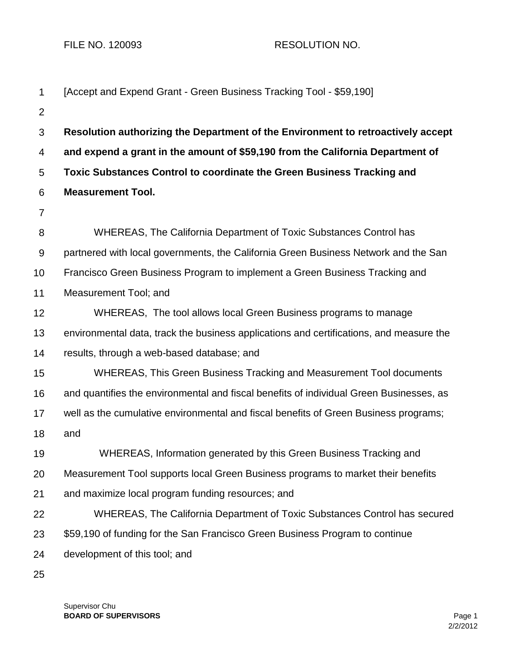FILE NO. 120093 RESOLUTION NO.

| 1              | [Accept and Expend Grant - Green Business Tracking Tool - \$59,190]                     |
|----------------|-----------------------------------------------------------------------------------------|
| $\overline{2}$ |                                                                                         |
| 3              | Resolution authorizing the Department of the Environment to retroactively accept        |
| 4              | and expend a grant in the amount of \$59,190 from the California Department of          |
| 5              | Toxic Substances Control to coordinate the Green Business Tracking and                  |
| 6              | <b>Measurement Tool.</b>                                                                |
| 7              |                                                                                         |
| 8              | WHEREAS, The California Department of Toxic Substances Control has                      |
| $9\,$          | partnered with local governments, the California Green Business Network and the San     |
| 10             | Francisco Green Business Program to implement a Green Business Tracking and             |
| 11             | Measurement Tool; and                                                                   |
| 12             | WHEREAS, The tool allows local Green Business programs to manage                        |
| 13             | environmental data, track the business applications and certifications, and measure the |
| 14             | results, through a web-based database; and                                              |
| 15             | WHEREAS, This Green Business Tracking and Measurement Tool documents                    |
| 16             | and quantifies the environmental and fiscal benefits of individual Green Businesses, as |
| 17             | well as the cumulative environmental and fiscal benefits of Green Business programs;    |
| 18             | and                                                                                     |
| 19             | WHEREAS, Information generated by this Green Business Tracking and                      |
| 20             | Measurement Tool supports local Green Business programs to market their benefits        |
| 21             | and maximize local program funding resources; and                                       |
| 22             | WHEREAS, The California Department of Toxic Substances Control has secured              |
| 23             | \$59,190 of funding for the San Francisco Green Business Program to continue            |
| 24             | development of this tool; and                                                           |
| 25             |                                                                                         |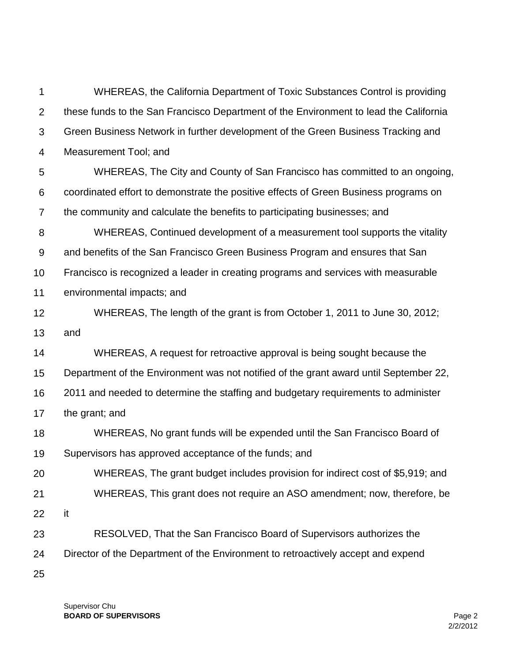1 2 3 4 5 6 7 8 9 10 11 12 13 14 15 16 17 18 19 20 21 22 23 24 25 WHEREAS, the California Department of Toxic Substances Control is providing these funds to the San Francisco Department of the Environment to lead the California Green Business Network in further development of the Green Business Tracking and Measurement Tool; and WHEREAS, The City and County of San Francisco has committed to an ongoing, coordinated effort to demonstrate the positive effects of Green Business programs on the community and calculate the benefits to participating businesses; and WHEREAS, Continued development of a measurement tool supports the vitality and benefits of the San Francisco Green Business Program and ensures that San Francisco is recognized a leader in creating programs and services with measurable environmental impacts; and WHEREAS, The length of the grant is from October 1, 2011 to June 30, 2012; and WHEREAS, A request for retroactive approval is being sought because the Department of the Environment was not notified of the grant award until September 22, 2011 and needed to determine the staffing and budgetary requirements to administer the grant; and WHEREAS, No grant funds will be expended until the San Francisco Board of Supervisors has approved acceptance of the funds; and WHEREAS, The grant budget includes provision for indirect cost of \$5,919; and WHEREAS, This grant does not require an ASO amendment; now, therefore, be it RESOLVED, That the San Francisco Board of Supervisors authorizes the Director of the Department of the Environment to retroactively accept and expend